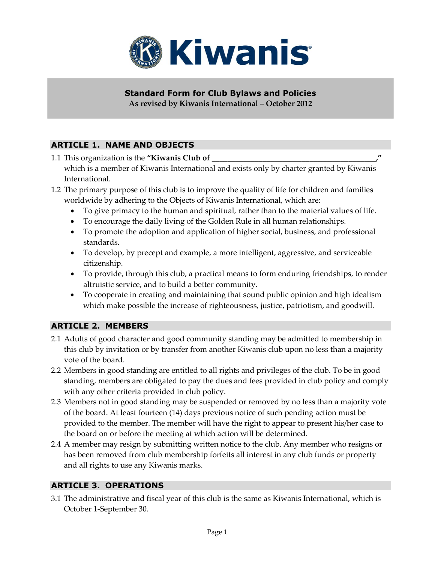

#### **Standard Form for Club Bylaws and Policies As revised by Kiwanis International – October 2012**

# **ARTICLE 1. NAME AND OBJECTS**

- 1.1 This organization is the "Kiwanis Club of which is a member of Kiwanis International and exists only by charter granted by Kiwanis International.
- 1.2 The primary purpose of this club is to improve the quality of life for children and families worldwide by adhering to the Objects of Kiwanis International, which are:
	- To give primacy to the human and spiritual, rather than to the material values of life.
	- To encourage the daily living of the Golden Rule in all human relationships.
	- To promote the adoption and application of higher social, business, and professional standards.
	- To develop, by precept and example, a more intelligent, aggressive, and serviceable citizenship.
	- To provide, through this club, a practical means to form enduring friendships, to render altruistic service, and to build a better community.
	- To cooperate in creating and maintaining that sound public opinion and high idealism which make possible the increase of righteousness, justice, patriotism, and goodwill.

# **ARTICLE 2. MEMBERS**

- 2.1 Adults of good character and good community standing may be admitted to membership in this club by invitation or by transfer from another Kiwanis club upon no less than a majority vote of the board.
- 2.2 Members in good standing are entitled to all rights and privileges of the club. To be in good standing, members are obligated to pay the dues and fees provided in club policy and comply with any other criteria provided in club policy.
- 2.3 Members not in good standing may be suspended or removed by no less than a majority vote of the board. At least fourteen (14) days previous notice of such pending action must be provided to the member. The member will have the right to appear to present his/her case to the board on or before the meeting at which action will be determined.
- 2.4 A member may resign by submitting written notice to the club. Any member who resigns or has been removed from club membership forfeits all interest in any club funds or property and all rights to use any Kiwanis marks.

## **ARTICLE 3. OPERATIONS**

3.1 The administrative and fiscal year of this club is the same as Kiwanis International, which is October 1-September 30.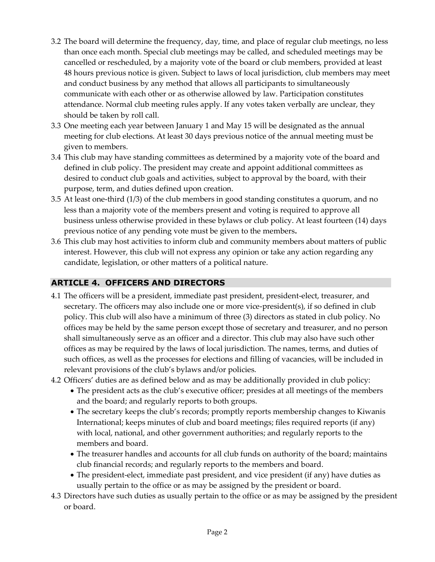- 3.2 The board will determine the frequency, day, time, and place of regular club meetings, no less than once each month. Special club meetings may be called, and scheduled meetings may be cancelled or rescheduled, by a majority vote of the board or club members, provided at least 48 hours previous notice is given. Subject to laws of local jurisdiction, club members may meet and conduct business by any method that allows all participants to simultaneously communicate with each other or as otherwise allowed by law. Participation constitutes attendance. Normal club meeting rules apply. If any votes taken verbally are unclear, they should be taken by roll call.
- 3.3 One meeting each year between January 1 and May 15 will be designated as the annual meeting for club elections. At least 30 days previous notice of the annual meeting must be given to members.
- 3.4 This club may have standing committees as determined by a majority vote of the board and defined in club policy. The president may create and appoint additional committees as desired to conduct club goals and activities, subject to approval by the board, with their purpose, term, and duties defined upon creation.
- 3.5 At least one-third (1/3) of the club members in good standing constitutes a quorum, and no less than a majority vote of the members present and voting is required to approve all business unless otherwise provided in these bylaws or club policy. At least fourteen (14) days previous notice of any pending vote must be given to the members**.**
- 3.6 This club may host activities to inform club and community members about matters of public interest. However, this club will not express any opinion or take any action regarding any candidate, legislation, or other matters of a political nature.

# **ARTICLE 4. OFFICERS AND DIRECTORS**

- 4.1 The officers will be a president, immediate past president, president-elect, treasurer, and secretary. The officers may also include one or more vice-president(s), if so defined in club policy. This club will also have a minimum of three (3) directors as stated in club policy. No offices may be held by the same person except those of secretary and treasurer, and no person shall simultaneously serve as an officer and a director. This club may also have such other offices as may be required by the laws of local jurisdiction. The names, terms, and duties of such offices, as well as the processes for elections and filling of vacancies, will be included in relevant provisions of the club's bylaws and/or policies.
- 4.2 Officers' duties are as defined below and as may be additionally provided in club policy:
	- The president acts as the club's executive officer; presides at all meetings of the members and the board; and regularly reports to both groups.
	- The secretary keeps the club's records; promptly reports membership changes to Kiwanis International; keeps minutes of club and board meetings; files required reports (if any) with local, national, and other government authorities; and regularly reports to the members and board.
	- The treasurer handles and accounts for all club funds on authority of the board; maintains club financial records; and regularly reports to the members and board.
	- The president-elect, immediate past president, and vice president (if any) have duties as usually pertain to the office or as may be assigned by the president or board.
- 4.3 Directors have such duties as usually pertain to the office or as may be assigned by the president or board.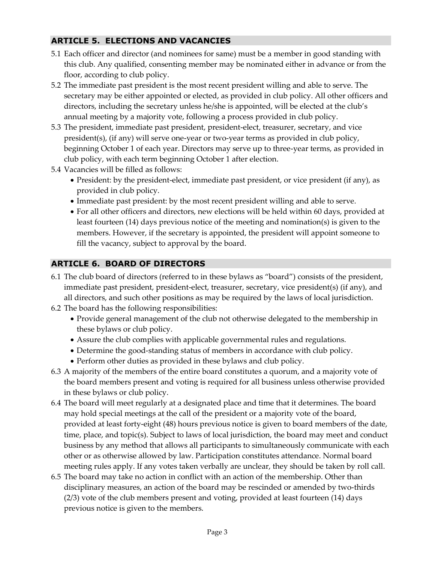## **ARTICLE 5. ELECTIONS AND VACANCIES**

- 5.1 Each officer and director (and nominees for same) must be a member in good standing with this club. Any qualified, consenting member may be nominated either in advance or from the floor, according to club policy.
- 5.2 The immediate past president is the most recent president willing and able to serve. The secretary may be either appointed or elected, as provided in club policy. All other officers and directors, including the secretary unless he/she is appointed, will be elected at the club's annual meeting by a majority vote, following a process provided in club policy.
- 5.3 The president, immediate past president, president-elect, treasurer, secretary, and vice president(s), (if any) will serve one-year or two-year terms as provided in club policy, beginning October 1 of each year. Directors may serve up to three-year terms, as provided in club policy, with each term beginning October 1 after election.
- 5.4 Vacancies will be filled as follows:
	- President: by the president-elect, immediate past president, or vice president (if any), as provided in club policy.
	- Immediate past president: by the most recent president willing and able to serve.
	- For all other officers and directors, new elections will be held within 60 days, provided at least fourteen (14) days previous notice of the meeting and nomination(s) is given to the members. However, if the secretary is appointed, the president will appoint someone to fill the vacancy, subject to approval by the board.

## **ARTICLE 6. BOARD OF DIRECTORS**

- 6.1 The club board of directors (referred to in these bylaws as "board") consists of the president, immediate past president, president-elect, treasurer, secretary, vice president(s) (if any), and all directors, and such other positions as may be required by the laws of local jurisdiction.
- 6.2 The board has the following responsibilities:
	- Provide general management of the club not otherwise delegated to the membership in these bylaws or club policy.
	- Assure the club complies with applicable governmental rules and regulations.
	- Determine the good-standing status of members in accordance with club policy.
	- Perform other duties as provided in these bylaws and club policy.
- 6.3 A majority of the members of the entire board constitutes a quorum, and a majority vote of the board members present and voting is required for all business unless otherwise provided in these bylaws or club policy.
- 6.4 The board will meet regularly at a designated place and time that it determines. The board may hold special meetings at the call of the president or a majority vote of the board, provided at least forty-eight (48) hours previous notice is given to board members of the date, time, place, and topic(s). Subject to laws of local jurisdiction, the board may meet and conduct business by any method that allows all participants to simultaneously communicate with each other or as otherwise allowed by law. Participation constitutes attendance. Normal board meeting rules apply. If any votes taken verbally are unclear, they should be taken by roll call.
- 6.5 The board may take no action in conflict with an action of the membership. Other than disciplinary measures, an action of the board may be rescinded or amended by two-thirds (2/3) vote of the club members present and voting, provided at least fourteen (14) days previous notice is given to the members.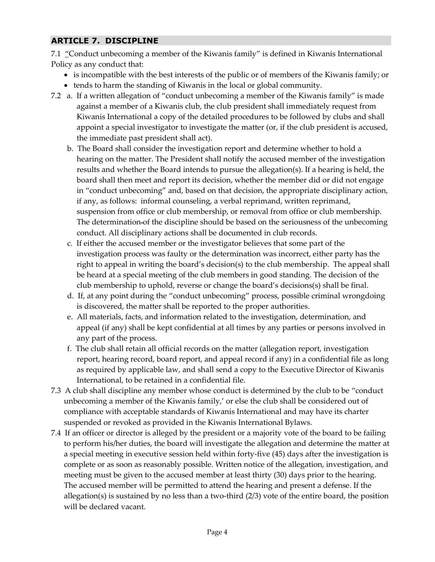# **ARTICLE 7. DISCIPLINE**

7.1 "Conduct unbecoming a member of the Kiwanis family" is defined in Kiwanis International Policy as any conduct that:

- is incompatible with the best interests of the public or of members of the Kiwanis family; or
- tends to harm the standing of Kiwanis in the local or global community.
- 7.2 a. If a written allegation of "conduct unbecoming a member of the Kiwanis family" is made against a member of a Kiwanis club, the club president shall immediately request from Kiwanis International a copy of the detailed procedures to be followed by clubs and shall appoint a special investigator to investigate the matter (or, if the club president is accused, the immediate past president shall act).
	- b. The Board shall consider the investigation report and determine whether to hold a hearing on the matter. The President shall notify the accused member of the investigation results and whether the Board intends to pursue the allegation(s). If a hearing is held, the board shall then meet and report its decision, whether the member did or did not engage in "conduct unbecoming" and, based on that decision, the appropriate disciplinary action, if any, as follows: informal counseling, a verbal reprimand, written reprimand, suspension from office or club membership, or removal from office or club membership. The determination of the discipline should be based on the seriousness of the unbecoming conduct. All disciplinary actions shall be documented in club records.
	- c. If either the accused member or the investigator believes that some part of the investigation process was faulty or the determination was incorrect, either party has the right to appeal in writing the board's decision(s) to the club membership. The appeal shall be heard at a special meeting of the club members in good standing. The decision of the club membership to uphold, reverse or change the board's decisions(s) shall be final.
	- d. If, at any point during the "conduct unbecoming" process, possible criminal wrongdoing is discovered, the matter shall be reported to the proper authorities.
	- e. All materials, facts, and information related to the investigation, determination, and appeal (if any) shall be kept confidential at all times by any parties or persons involved in any part of the process.
	- f. The club shall retain all official records on the matter (allegation report, investigation report, hearing record, board report, and appeal record if any) in a confidential file as long as required by applicable law, and shall send a copy to the Executive Director of Kiwanis International, to be retained in a confidential file.
- 7.3 A club shall discipline any member whose conduct is determined by the club to be "conduct unbecoming a member of the Kiwanis family,' or else the club shall be considered out of compliance with acceptable standards of Kiwanis International and may have its charter suspended or revoked as provided in the Kiwanis International Bylaws.
- 7.4 If an officer or director is alleged by the president or a majority vote of the board to be failing to perform his/her duties, the board will investigate the allegation and determine the matter at a special meeting in executive session held within forty-five (45) days after the investigation is complete or as soon as reasonably possible. Written notice of the allegation, investigation, and meeting must be given to the accused member at least thirty (30) days prior to the hearing. The accused member will be permitted to attend the hearing and present a defense. If the allegation(s) is sustained by no less than a two-third (2/3) vote of the entire board, the position will be declared vacant.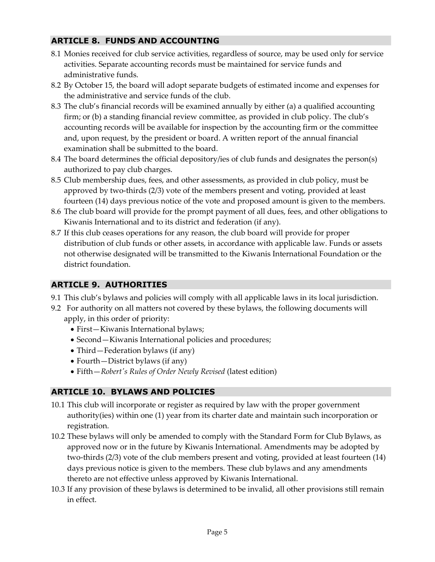## **ARTICLE 8. FUNDS AND ACCOUNTING**

- 8.1 Monies received for club service activities, regardless of source, may be used only for service activities. Separate accounting records must be maintained for service funds and administrative funds.
- 8.2 By October 15, the board will adopt separate budgets of estimated income and expenses for the administrative and service funds of the club.
- 8.3 The club's financial records will be examined annually by either (a) a qualified accounting firm; or (b) a standing financial review committee, as provided in club policy. The club's accounting records will be available for inspection by the accounting firm or the committee and, upon request, by the president or board. A written report of the annual financial examination shall be submitted to the board.
- 8.4 The board determines the official depository/ies of club funds and designates the person(s) authorized to pay club charges.
- 8.5 Club membership dues, fees, and other assessments, as provided in club policy, must be approved by two-thirds (2/3) vote of the members present and voting, provided at least fourteen (14) days previous notice of the vote and proposed amount is given to the members.
- 8.6 The club board will provide for the prompt payment of all dues, fees, and other obligations to Kiwanis International and to its district and federation (if any).
- 8.7 If this club ceases operations for any reason, the club board will provide for proper distribution of club funds or other assets, in accordance with applicable law. Funds or assets not otherwise designated will be transmitted to the Kiwanis International Foundation or the district foundation.

## **ARTICLE 9. AUTHORITIES**

- 9.1 This club's bylaws and policies will comply with all applicable laws in its local jurisdiction.
- 9.2 For authority on all matters not covered by these bylaws, the following documents will apply, in this order of priority:
	- First-Kiwanis International bylaws;
	- Second—Kiwanis International policies and procedures;
	- Third Federation bylaws (if any)
	- Fourth—District bylaws (if any)
	- Fifth—*Robert's Rules of Order Newly Revised* (latest edition)

# **ARTICLE 10. BYLAWS AND POLICIES**

- 10.1 This club will incorporate or register as required by law with the proper government authority(ies) within one (1) year from its charter date and maintain such incorporation or registration.
- 10.2 These bylaws will only be amended to comply with the Standard Form for Club Bylaws, as approved now or in the future by Kiwanis International. Amendments may be adopted by two-thirds (2/3) vote of the club members present and voting, provided at least fourteen (14) days previous notice is given to the members. These club bylaws and any amendments thereto are not effective unless approved by Kiwanis International.
- 10.3 If any provision of these bylaws is determined to be invalid, all other provisions still remain in effect.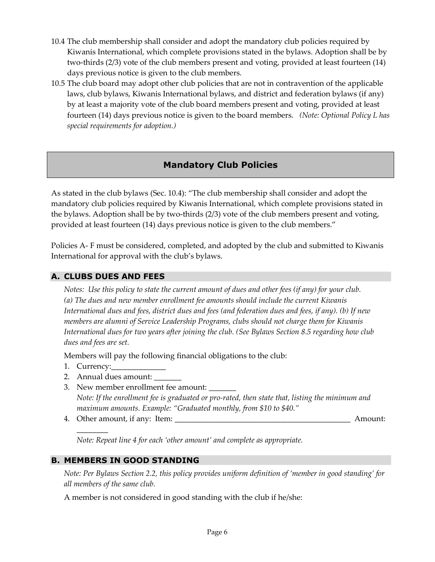- 10.4 The club membership shall consider and adopt the mandatory club policies required by Kiwanis International, which complete provisions stated in the bylaws. Adoption shall be by two-thirds (2/3) vote of the club members present and voting, provided at least fourteen (14) days previous notice is given to the club members.
- 10.5 The club board may adopt other club policies that are not in contravention of the applicable laws, club bylaws, Kiwanis International bylaws, and district and federation bylaws (if any) by at least a majority vote of the club board members present and voting, provided at least fourteen (14) days previous notice is given to the board members. *(Note: Optional Policy L has special requirements for adoption.)*

# **Mandatory Club Policies**

As stated in the club bylaws (Sec. 10.4): "The club membership shall consider and adopt the mandatory club policies required by Kiwanis International, which complete provisions stated in the bylaws. Adoption shall be by two-thirds (2/3) vote of the club members present and voting, provided at least fourteen (14) days previous notice is given to the club members."

Policies A- F must be considered, completed, and adopted by the club and submitted to Kiwanis International for approval with the club's bylaws.

### **A. CLUBS DUES AND FEES**

*Notes: Use this policy to state the current amount of dues and other fees (if any) for your club. (a) The dues and new member enrollment fee amounts should include the current Kiwanis International dues and fees, district dues and fees (and federation dues and fees, if any). (b) If new members are alumni of Service Leadership Programs, clubs should not charge them for Kiwanis International dues for two years after joining the club. (See Bylaws Section 8.5 regarding how club dues and fees are set.*

Members will pay the following financial obligations to the club:

1. Currency:\_\_\_\_\_\_\_\_\_\_\_\_\_\_

\_\_\_\_\_\_\_\_

- 2. Annual dues amount:
- 3. New member enrollment fee amount: *Note: If the enrollment fee is graduated or pro-rated, then state that, listing the minimum and maximum amounts. Example: "Graduated monthly, from \$10 to \$40."*
- 4. Other amount, if any: Item: \_\_\_\_\_\_\_\_\_\_\_\_\_\_\_\_\_\_\_\_\_\_\_\_\_\_\_\_\_\_\_\_\_\_\_\_\_\_\_\_\_\_\_\_\_ Amount:

*Note: Repeat line 4 for each 'other amount' and complete as appropriate.*

#### **B. MEMBERS IN GOOD STANDING**

*Note: Per Bylaws Section 2.2, this policy provides uniform definition of 'member in good standing' for all members of the same club.*

A member is not considered in good standing with the club if he/she: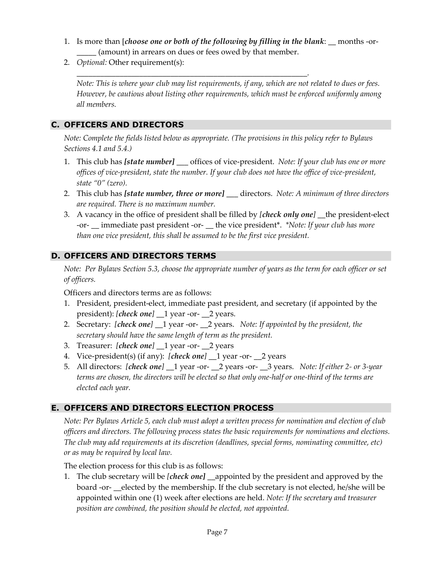1. Is more than [*choose one or both of the following by filling in the blank*: \_\_ months -or- (amount) in arrears on dues or fees owed by that member.

\_\_\_\_\_\_\_\_\_\_\_\_\_\_\_\_\_\_\_\_\_\_\_\_\_\_\_\_\_\_\_\_\_\_\_\_\_\_\_\_\_\_\_\_\_\_\_\_\_\_\_\_\_\_\_\_\_\_\_.

2. *Optional:* Other requirement(s):

*Note: This is where your club may list requirements, if any, which are not related to dues or fees. However, be cautious about listing other requirements, which must be enforced uniformly among all members.* 

## **C. OFFICERS AND DIRECTORS**

*Note: Complete the fields listed below as appropriate. (The provisions in this policy refer to Bylaws Sections 4.1 and 5.4.)*

- 1. This club has *[state number] \_\_\_* offices of vice-president. *Note: If your club has one or more offices of vice-president, state the number. If your club does not have the office of vice-president, state "0" (zero).*
- 2. This club has *[state number, three or more]* \_\_\_ directors. *Note: A minimum of three directors are required. There is no maximum number.*
- 3. A vacancy in the office of president shall be filled by *[check only one]* \_\_the president-elect -or- \_\_ immediate past president -or- \_\_ the vice president\*. *\*Note: If your club has more than one vice president, this shall be assumed to be the first vice president.*

## **D. OFFICERS AND DIRECTORS TERMS**

*Note: Per Bylaws Section 5.3, choose the appropriate number of years as the term for each officer or set of officers.*

Officers and directors terms are as follows:

- 1. President, president-elect, immediate past president, and secretary (if appointed by the president): *[check one]* \_\_1 year -or- \_\_2 years.
- 2. Secretary: *[check one]* 1 year -or- 2 years. *Note: If appointed by the president, the secretary should have the same length of term as the president.*
- 3. Treasurer: *[check one]* \_\_1 year -or- \_\_2 years
- 4. Vice-president(s) (if any): *[check one]* \_\_1 year -or- \_\_2 years
- 5. All directors: *[check one]* \_\_1 year -or- \_\_2 years -or- \_\_3 years. *Note: If either 2- or 3-year terms are chosen, the directors will be elected so that only one-half or one-third of the terms are elected each year.*

## **E. OFFICERS AND DIRECTORS ELECTION PROCESS**

*Note: Per Bylaws Article 5, each club must adopt a written process for nomination and election of club officers and directors. The following process states the basic requirements for nominations and elections. The club may add requirements at its discretion (deadlines, special forms, nominating committee, etc) or as may be required by local law.*

The election process for this club is as follows:

1. The club secretary will be *[check one]* \_\_appointed by the president and approved by the board -or- \_\_elected by the membership. If the club secretary is not elected, he/she will be appointed within one (1) week after elections are held. *Note: If the secretary and treasurer position are combined, the position should be elected, not appointed.*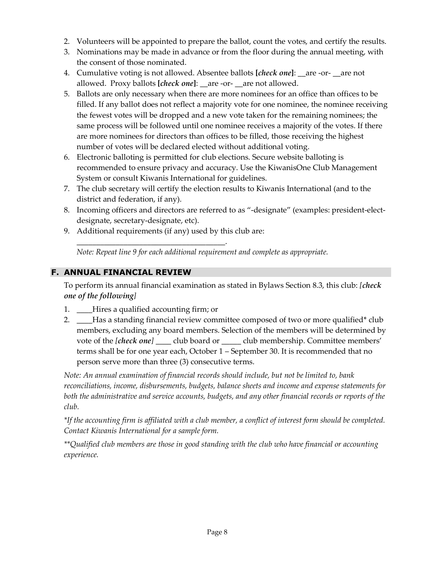- 2. Volunteers will be appointed to prepare the ballot, count the votes, and certify the results.
- 3. Nominations may be made in advance or from the floor during the annual meeting, with the consent of those nominated.
- 4. Cumulative voting is not allowed. Absentee ballots **[***check one***]**: \_\_are -or- \_\_are not allowed. Proxy ballots **[***check one***]**: \_\_are -or- \_\_are not allowed.
- 5. Ballots are only necessary when there are more nominees for an office than offices to be filled. If any ballot does not reflect a majority vote for one nominee, the nominee receiving the fewest votes will be dropped and a new vote taken for the remaining nominees; the same process will be followed until one nominee receives a majority of the votes. If there are more nominees for directors than offices to be filled, those receiving the highest number of votes will be declared elected without additional voting.
- 6. Electronic balloting is permitted for club elections. Secure website balloting is recommended to ensure privacy and accuracy. Use the KiwanisOne Club Management System or consult Kiwanis International for guidelines.
- 7. The club secretary will certify the election results to Kiwanis International (and to the district and federation, if any).
- 8. Incoming officers and directors are referred to as "-designate" (examples: president-electdesignate, secretary-designate, etc).
- 9. Additional requirements (if any) used by this club are:

\_\_\_\_\_\_\_\_\_\_\_\_\_\_\_\_\_\_\_\_\_\_\_\_\_\_\_\_\_\_\_\_\_\_\_\_\_\_.

*Note: Repeat line 9 for each additional requirement and complete as appropriate.*

### **F. ANNUAL FINANCIAL REVIEW**

To perform its annual financial examination as stated in Bylaws Section 8.3, this club: *[check one of the following]*

- 1. Hires a qualified accounting firm; or
- 2. \_\_\_\_Has a standing financial review committee composed of two or more qualified\* club members, excluding any board members. Selection of the members will be determined by vote of the *[check one]* \_\_\_\_ club board or \_\_\_\_\_ club membership. Committee members' terms shall be for one year each, October 1 – September 30. It is recommended that no person serve more than three (3) consecutive terms.

*Note: An annual examination of financial records should include, but not be limited to, bank reconciliations, income, disbursements, budgets, balance sheets and income and expense statements for both the administrative and service accounts, budgets, and any other financial records or reports of the club.*

*\*If the accounting firm is affiliated with a club member, a conflict of interest form should be completed. Contact Kiwanis International for a sample form.*

*\*\*Qualified club members are those in good standing with the club who have financial or accounting experience.*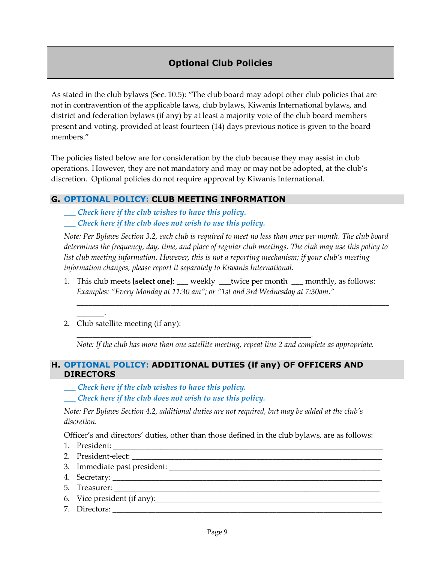# **Optional Club Policies**

As stated in the club bylaws (Sec. 10.5): "The club board may adopt other club policies that are not in contravention of the applicable laws, club bylaws, Kiwanis International bylaws, and district and federation bylaws (if any) by at least a majority vote of the club board members present and voting, provided at least fourteen (14) days previous notice is given to the board members."

The policies listed below are for consideration by the club because they may assist in club operations. However, they are not mandatory and may or may not be adopted, at the club's discretion. Optional policies do not require approval by Kiwanis International.

#### **G. OPTIONAL POLICY: CLUB MEETING INFORMATION**

*\_\_\_ Check here if the club wishes to have this policy.*

*\_\_\_ Check here if the club does not wish to use this policy.*

*Note: Per Bylaws Section 3.2, each club is required to meet no less than once per month. The club board determines the frequency, day, time, and place of regular club meetings. The club may use this policy to list club meeting information. However, this is not a reporting mechanism; if your club's meeting information changes, please report it separately to Kiwanis International.*

1. This club meets **[select one]**: \_\_\_ weekly \_\_\_twice per month \_\_\_ monthly, as follows: *Examples: "Every Monday at 11:30 am"; or "1st and 3rd Wednesday at 7:30am."* 

\_\_\_\_\_\_\_\_\_\_\_\_\_\_\_\_\_\_\_\_\_\_\_\_\_\_\_\_\_\_\_\_\_\_\_\_\_\_\_\_\_\_\_\_\_\_\_\_\_\_\_\_\_\_\_\_\_\_\_\_\_\_\_\_\_\_\_\_\_\_\_\_\_\_\_\_\_\_\_\_

2. Club satellite meeting (if any):

*Note: If the club has more than one satellite meeting, repeat line 2 and complete as appropriate.*

#### **H. OPTIONAL POLICY: ADDITIONAL DUTIES (if any) OF OFFICERS AND DIRECTORS**

\_\_\_\_\_\_\_\_\_\_\_\_\_\_\_\_\_\_\_\_\_\_\_\_\_\_\_\_\_\_\_\_\_\_\_\_\_\_\_\_\_\_\_\_\_\_\_\_\_\_\_\_\_\_\_\_\_\_\_\_.

- *\_\_\_ Check here if the club wishes to have this policy.*
- *\_\_\_ Check here if the club does not wish to use this policy.*

*Note: Per Bylaws Section 4.2, additional duties are not required, but may be added at the club's discretion.*

Officer's and directors' duties, other than those defined in the club bylaws, are as follows:

1. President:

\_\_\_\_\_\_\_.

- 2. President-elect: \_\_\_\_\_\_\_\_\_\_\_\_\_\_\_\_\_\_\_\_\_\_\_\_\_\_\_\_\_\_\_\_\_\_\_\_\_\_\_\_\_\_\_\_\_\_\_\_\_\_\_\_\_\_\_\_\_\_\_\_\_\_\_\_
- 3. Immediate past president: \_\_\_\_\_\_\_\_\_\_\_\_\_\_\_\_\_\_\_\_\_\_\_\_\_\_\_\_\_\_\_\_\_\_\_\_\_\_\_\_\_\_\_\_\_\_\_\_\_\_\_\_\_\_
- 4. Secretary: \_\_\_\_\_\_\_\_\_\_\_\_\_\_\_\_\_\_\_\_\_\_\_\_\_\_\_\_\_\_\_\_\_\_\_\_\_\_\_\_\_\_\_\_\_\_\_\_\_\_\_\_\_\_\_\_\_\_\_\_\_\_\_\_\_\_\_\_\_
- 5. Treasurer:  $\overline{z}$
- 6. Vice president (if any):
- 7. Directors: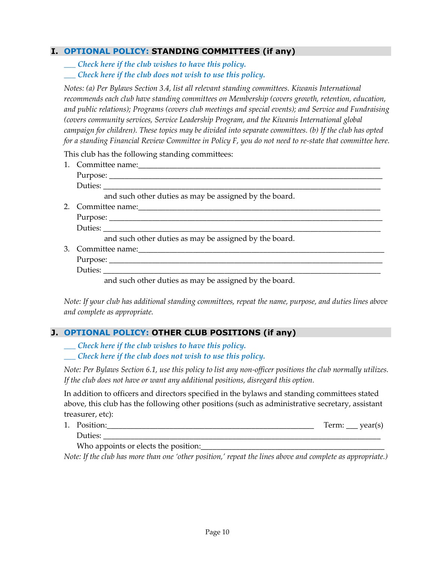### **I. OPTIONAL POLICY: STANDING COMMITTEES (if any)**

*\_\_\_ Check here if the club wishes to have this policy. \_\_\_ Check here if the club does not wish to use this policy.*

*Notes: (a) Per Bylaws Section 3.4, list all relevant standing committees. Kiwanis International recommends each club have standing committees on Membership (covers growth, retention, education, and public relations); Programs (covers club meetings and special events); and Service and Fundraising (covers community services, Service Leadership Program, and the Kiwanis International global campaign for children). These topics may be divided into separate committees. (b) If the club has opted for a standing Financial Review Committee in Policy F, you do not need to re-state that committee here.*

This club has the following standing committees:

| Duties:                                                                                                                                                                                                                       |
|-------------------------------------------------------------------------------------------------------------------------------------------------------------------------------------------------------------------------------|
| and such other duties as may be assigned by the board.                                                                                                                                                                        |
|                                                                                                                                                                                                                               |
|                                                                                                                                                                                                                               |
|                                                                                                                                                                                                                               |
| and such other duties as may be assigned by the board.                                                                                                                                                                        |
|                                                                                                                                                                                                                               |
|                                                                                                                                                                                                                               |
|                                                                                                                                                                                                                               |
| . The contract of the contract of the contract of the contract of the contract of the contract of the contract of the contract of the contract of the contract of the contract of the contract of the contract of the contrac |

and such other duties as may be assigned by the board.

*Note: If your club has additional standing committees, repeat the name, purpose, and duties lines above and complete as appropriate.*

## **J. OPTIONAL POLICY: OTHER CLUB POSITIONS (if any)**

*\_\_\_ Check here if the club wishes to have this policy.*

*\_\_\_ Check here if the club does not wish to use this policy.*

*Note: Per Bylaws Section 6.1, use this policy to list any non-officer positions the club normally utilizes. If the club does not have or want any additional positions, disregard this option.*

In addition to officers and directors specified in the bylaws and standing committees stated above, this club has the following other positions (such as administrative secretary, assistant treasurer, etc):

1. Position:  $\text{Term: } \text{year(s)}$ Duties: \_\_\_\_\_\_\_\_\_\_\_\_\_\_\_\_\_\_\_\_\_\_\_\_\_\_\_\_\_\_\_\_\_\_\_\_\_\_\_\_\_\_\_\_\_\_\_\_\_\_\_\_\_\_\_\_\_\_\_\_\_\_\_\_\_\_\_\_\_\_\_

Who appoints or elects the position:

*Note: If the club has more than one 'other position,' repeat the lines above and complete as appropriate.)*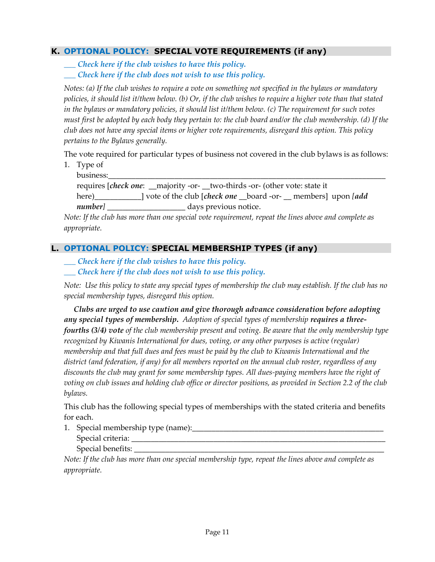### **K. OPTIONAL POLICY: SPECIAL VOTE REQUIREMENTS (if any)**

*\_\_\_ Check here if the club wishes to have this policy. \_\_\_ Check here if the club does not wish to use this policy.*

*Notes: (a) If the club wishes to require a vote on something not specified in the bylaws or mandatory policies, it should list it/them below. (b) Or, if the club wishes to require a higher vote than that stated in the bylaws or mandatory policies, it should list it/them below. (c) The requirement for such votes must first be adopted by each body they pertain to: the club board and/or the club membership. (d) If the club does not have any special items or higher vote requirements, disregard this option. This policy pertains to the Bylaws generally.*

The vote required for particular types of business not covered in the club bylaws is as follows:

1. Type of

business:\_\_\_\_\_\_\_\_\_\_\_\_\_\_\_\_\_\_\_\_\_\_\_\_\_\_\_\_\_\_\_\_\_\_\_\_\_\_\_\_\_\_\_\_\_\_\_\_\_\_\_\_\_\_\_\_\_\_\_\_\_\_\_\_\_\_\_\_\_\_\_ requires [*check one*: \_\_majority -or- \_\_two-thirds -or- (other vote: state it here)\_\_\_\_\_\_\_\_\_\_\_\_] vote of the club [*check one* \_\_board -or- \_\_ members] upon *[add number]* \_\_\_\_\_\_\_\_\_\_\_\_\_\_\_\_\_\_\_\_ days previous notice.

*Note: If the club has more than one special vote requirement, repeat the lines above and complete as appropriate.*

### **L. OPTIONAL POLICY: SPECIAL MEMBERSHIP TYPES (if any)**

*\_\_\_ Check here if the club wishes to have this policy. \_\_\_ Check here if the club does not wish to use this policy.*

*Note: Use this policy to state any special types of membership the club may establish. If the club has no special membership types, disregard this option.*

 *Clubs are urged to use caution and give thorough advance consideration before adopting any special types of membership***.** *Adoption of special types of membership requires a threefourths (3/4) vote of the club membership present and voting. Be aware that the only membership type recognized by Kiwanis International for dues, voting, or any other purposes is active (regular) membership and that full dues and fees must be paid by the club to Kiwanis International and the district (and federation, if any) for all members reported on the annual club roster, regardless of any discounts the club may grant for some membership types. All dues-paying members have the right of voting on club issues and holding club office or director positions, as provided in Section 2.2 of the club bylaws.*

This club has the following special types of memberships with the stated criteria and benefits for each.

1. Special membership type (name):\_\_\_\_\_\_\_\_\_\_\_\_\_\_\_\_\_\_\_\_\_\_\_\_\_\_\_\_\_\_\_\_\_\_\_\_\_\_\_\_\_\_\_\_\_\_\_\_\_ Special criteria: \_\_\_\_\_\_\_\_\_\_\_\_\_\_\_\_\_\_\_\_\_\_\_\_\_\_\_\_\_\_\_\_\_\_\_\_\_\_\_\_\_\_\_\_\_\_\_\_\_\_\_\_\_\_\_\_\_\_\_\_\_\_\_\_\_

Special benefits:

*Note: If the club has more than one special membership type, repeat the lines above and complete as appropriate.*